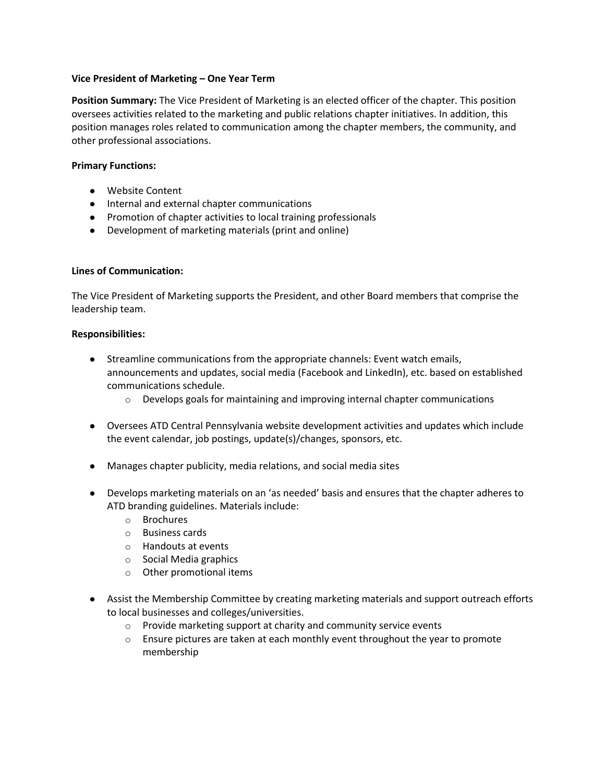### **Vice President of Marketing – One Year Term**

**Position Summary:** The Vice President of Marketing is an elected officer of the chapter. This position oversees activities related to the marketing and public relations chapter initiatives. In addition, this position manages roles related to communication among the chapter members, the community, and other professional associations.

# **Primary Functions:**

- Website Content
- Internal and external chapter communications
- Promotion of chapter activities to local training professionals
- Development of marketing materials (print and online)

# **Lines of Communication:**

The Vice President of Marketing supports the President, and other Board members that comprise the leadership team.

### **Responsibilities:**

- Streamline communications from the appropriate channels: Event watch emails, announcements and updates, social media (Facebook and LinkedIn), etc. based on established communications schedule.
	- $\circ$  Develops goals for maintaining and improving internal chapter communications
- Oversees ATD Central Pennsylvania website development activities and updates which include the event calendar, job postings, update(s)/changes, sponsors, etc.
- Manages chapter publicity, media relations, and social media sites
- Develops marketing materials on an 'as needed' basis and ensures that the chapter adheres to ATD branding guidelines. Materials include:
	- o Brochures
	- o Business cards
	- o Handouts at events
	- o Social Media graphics
	- o Other promotional items
- Assist the Membership Committee by creating marketing materials and support outreach efforts to local businesses and colleges/universities.
	- o Provide marketing support at charity and community service events
	- $\circ$  Ensure pictures are taken at each monthly event throughout the year to promote membership